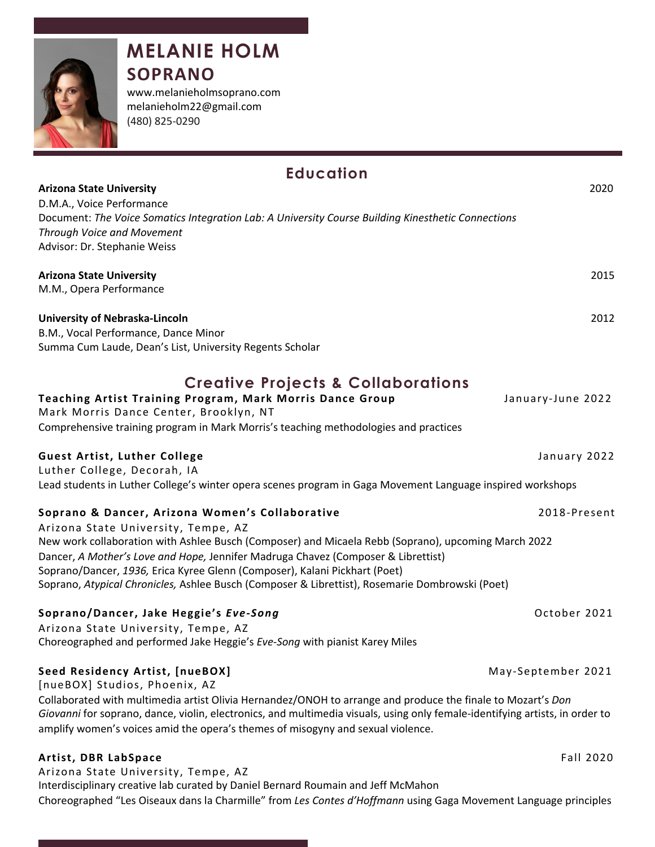

# **MELANIE HOLM SOPRANO**

www.melanieholmsoprano.com melanieholm22@gmail.com (480) 825-0290

| <b>Education</b>                                                                                                                                                |                    |  |  |
|-----------------------------------------------------------------------------------------------------------------------------------------------------------------|--------------------|--|--|
| <b>Arizona State University</b>                                                                                                                                 | 2020               |  |  |
| D.M.A., Voice Performance                                                                                                                                       |                    |  |  |
| Document: The Voice Somatics Integration Lab: A University Course Building Kinesthetic Connections<br><b>Through Voice and Movement</b>                         |                    |  |  |
| Advisor: Dr. Stephanie Weiss                                                                                                                                    |                    |  |  |
|                                                                                                                                                                 |                    |  |  |
| <b>Arizona State University</b>                                                                                                                                 | 2015               |  |  |
| M.M., Opera Performance                                                                                                                                         |                    |  |  |
| University of Nebraska-Lincoln                                                                                                                                  | 2012               |  |  |
| B.M., Vocal Performance, Dance Minor                                                                                                                            |                    |  |  |
| Summa Cum Laude, Dean's List, University Regents Scholar                                                                                                        |                    |  |  |
| <b>Creative Projects &amp; Collaborations</b>                                                                                                                   |                    |  |  |
| Teaching Artist Training Program, Mark Morris Dance Group                                                                                                       | January-June 2022  |  |  |
| Mark Morris Dance Center, Brooklyn, NT                                                                                                                          |                    |  |  |
| Comprehensive training program in Mark Morris's teaching methodologies and practices                                                                            |                    |  |  |
| <b>Guest Artist, Luther College</b>                                                                                                                             | January 2022       |  |  |
| Luther College, Decorah, IA                                                                                                                                     |                    |  |  |
| Lead students in Luther College's winter opera scenes program in Gaga Movement Language inspired workshops                                                      |                    |  |  |
| Soprano & Dancer, Arizona Women's Collaborative                                                                                                                 | 2018-Present       |  |  |
| Arizona State University, Tempe, AZ                                                                                                                             |                    |  |  |
| New work collaboration with Ashlee Busch (Composer) and Micaela Rebb (Soprano), upcoming March 2022                                                             |                    |  |  |
| Dancer, A Mother's Love and Hope, Jennifer Madruga Chavez (Composer & Librettist)<br>Soprano/Dancer, 1936, Erica Kyree Glenn (Composer), Kalani Pickhart (Poet) |                    |  |  |
| Soprano, Atypical Chronicles, Ashlee Busch (Composer & Librettist), Rosemarie Dombrowski (Poet)                                                                 |                    |  |  |
| Soprano/Dancer, Jake Heggie's Eve-Song                                                                                                                          | October 2021       |  |  |
| Arizona State University, Tempe, AZ                                                                                                                             |                    |  |  |
| Choreographed and performed Jake Heggie's Eve-Song with pianist Karey Miles                                                                                     |                    |  |  |
| Seed Residency Artist, [nueBOX]                                                                                                                                 | May-September 2021 |  |  |
| [nueBOX] Studios, Phoenix, AZ                                                                                                                                   |                    |  |  |
| Collaborated with multimedia artist Olivia Hernandez/ONOH to arrange and produce the finale to Mozart's Don                                                     |                    |  |  |
| Giovanni for soprano, dance, violin, electronics, and multimedia visuals, using only female-identifying artists, in order to                                    |                    |  |  |
| amplify women's voices amid the opera's themes of misogyny and sexual violence.                                                                                 |                    |  |  |
| Artist, DBR LabSpace                                                                                                                                            | Fall 2020          |  |  |
| Arizona State University, Tempe, AZ                                                                                                                             |                    |  |  |
| Interdisciplinary creative lab curated by Daniel Bernard Roumain and Jeff McMahon                                                                               |                    |  |  |
| Choreographed "Les Oiseaux dans la Charmille" from Les Contes d'Hoffmann using Gaga Movement Language principles                                                |                    |  |  |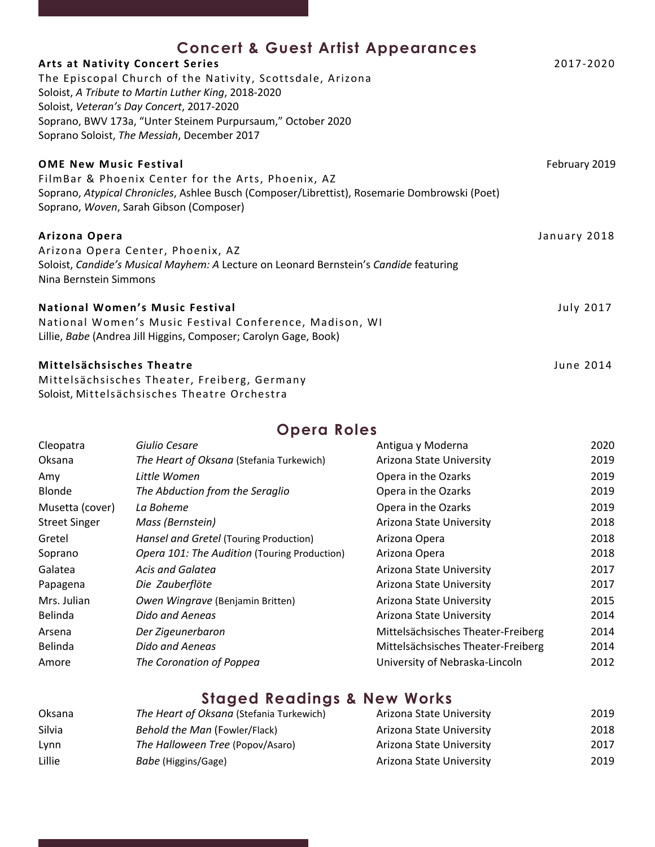| <b>Concert &amp; Guest Artist Appearances</b>                                                                                            |                  |
|------------------------------------------------------------------------------------------------------------------------------------------|------------------|
| <b>Arts at Nativity Concert Series</b>                                                                                                   | 2017-2020        |
| The Episcopal Church of the Nativity, Scottsdale, Arizona                                                                                |                  |
| Soloist, A Tribute to Martin Luther King, 2018-2020                                                                                      |                  |
| Soloist, Veteran's Day Concert, 2017-2020                                                                                                |                  |
| Soprano, BWV 173a, "Unter Steinem Purpursaum," October 2020                                                                              |                  |
| Soprano Soloist, The Messiah, December 2017                                                                                              |                  |
| <b>OME New Music Festival</b>                                                                                                            | February 2019    |
| FilmBar & Phoenix Center for the Arts, Phoenix, AZ                                                                                       |                  |
| Soprano, Atypical Chronicles, Ashlee Busch (Composer/Librettist), Rosemarie Dombrowski (Poet)<br>Soprano, Woven, Sarah Gibson (Composer) |                  |
| Arizona Opera                                                                                                                            | January 2018     |
| Arizona Opera Center, Phoenix, AZ                                                                                                        |                  |
| Soloist, Candide's Musical Mayhem: A Lecture on Leonard Bernstein's Candide featuring                                                    |                  |
| Nina Bernstein Simmons                                                                                                                   |                  |
| <b>National Women's Music Festival</b>                                                                                                   | <b>July 2017</b> |
| National Women's Music Festival Conference, Madison, WI                                                                                  |                  |
| Lillie, Babe (Andrea Jill Higgins, Composer; Carolyn Gage, Book)                                                                         |                  |
| Mittelsächsisches Theatre                                                                                                                | June 2014        |
| Mittelsächsisches Theater, Freiberg, Germany                                                                                             |                  |
| Soloist, Mittelsächsisches Theatre Orchestra                                                                                             |                  |

## **Opera Roles**

| Cleopatra            | Giulio Cesare                                | Antigua y Moderna                  | 2020 |
|----------------------|----------------------------------------------|------------------------------------|------|
| <b>Oksana</b>        | The Heart of Oksana (Stefania Turkewich)     | Arizona State University           | 2019 |
| Amy                  | Little Women                                 | Opera in the Ozarks                | 2019 |
| Blonde               | The Abduction from the Seraglio              | Opera in the Ozarks                | 2019 |
| Musetta (cover)      | La Boheme                                    | Opera in the Ozarks                | 2019 |
| <b>Street Singer</b> | Mass (Bernstein)                             | Arizona State University           | 2018 |
| Gretel               | Hansel and Gretel (Touring Production)       | Arizona Opera                      | 2018 |
| Soprano              | Opera 101: The Audition (Touring Production) | Arizona Opera                      | 2018 |
| Galatea              | Acis and Galatea                             | Arizona State University           | 2017 |
| Papagena             | Die Zauberflöte                              | Arizona State University           | 2017 |
| Mrs. Julian          | Owen Wingrave (Benjamin Britten)             | Arizona State University           | 2015 |
| Belinda              | Dido and Aeneas                              | Arizona State University           | 2014 |
| Arsena               | Der Zigeunerbaron                            | Mittelsächsisches Theater-Freiberg | 2014 |
| Belinda              | Dido and Aeneas                              | Mittelsächsisches Theater-Freiberg | 2014 |
| Amore                | The Coronation of Poppea                     | University of Nebraska-Lincoln     | 2012 |

## **Staged Readings & New Works**

| Oksana | The Heart of Oksana (Stefania Turkewich) | Arizona State University | 2019 |
|--------|------------------------------------------|--------------------------|------|
| Silvia | Behold the Man (Fowler/Flack)            | Arizona State University | 2018 |
| Lynn   | The Halloween Tree (Popov/Asaro)         | Arizona State University | 2017 |
| Lillie | Babe (Higgins/Gage)                      | Arizona State University | 2019 |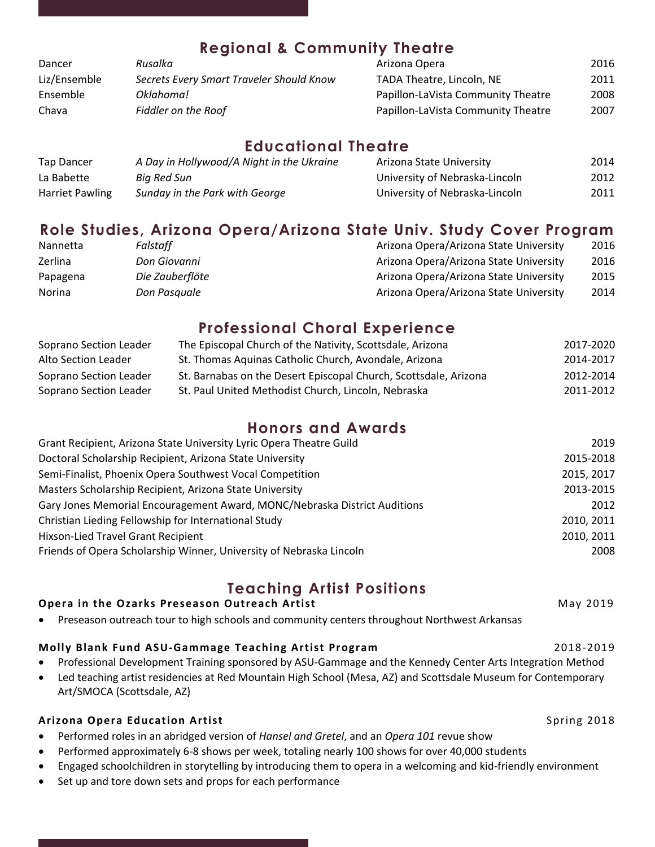| <b>Regional &amp; Community Theatre</b> |                                          |                                    |      |
|-----------------------------------------|------------------------------------------|------------------------------------|------|
| Dancer                                  | Rusalka                                  | Arizona Opera                      | 2016 |
| Liz/Ensemble                            | Secrets Every Smart Traveler Should Know | TADA Theatre, Lincoln, NE          | 2011 |
| Ensemble                                | Oklahoma!                                | Papillon-LaVista Community Theatre | 2008 |
| Chava                                   | <b>Fiddler on the Roof</b>               | Papillon-LaVista Community Theatre | 2007 |

### **Educational Theatre**

| Tap Dancer             | A Day in Hollywood/A Night in the Ukraine | Arizona State University       | 2014 |
|------------------------|-------------------------------------------|--------------------------------|------|
| La Babette             | Bia Red Sun                               | University of Nebraska-Lincoln | 2012 |
| <b>Harriet Pawling</b> | Sunday in the Park with George            | University of Nebraska-Lincoln | 2011 |

## **Role Studies, Arizona Opera/Arizona State Univ. Study Cover Program**

| Nannetta | Falstaff        | Arizona Opera/Arizona State University | 2016 |
|----------|-----------------|----------------------------------------|------|
| Zerlina  | Don Giovanni    | Arizona Opera/Arizona State University | 2016 |
| Papagena | Die Zauberflöte | Arizona Opera/Arizona State University | 2015 |
| Norina   | Don Pasauale    | Arizona Opera/Arizona State University | 2014 |

### **Professional Choral Experience**

| Soprano Section Leader | The Episcopal Church of the Nativity, Scottsdale, Arizona        | 2017-2020 |
|------------------------|------------------------------------------------------------------|-----------|
| Alto Section Leader    | St. Thomas Aquinas Catholic Church, Avondale, Arizona            | 2014-2017 |
| Soprano Section Leader | St. Barnabas on the Desert Episcopal Church, Scottsdale, Arizona | 2012-2014 |
| Soprano Section Leader | St. Paul United Methodist Church, Lincoln, Nebraska              | 2011-2012 |

### **Honors and Awards**

| Grant Recipient, Arizona State University Lyric Opera Theatre Guild       | 2019       |
|---------------------------------------------------------------------------|------------|
| Doctoral Scholarship Recipient, Arizona State University                  | 2015-2018  |
| Semi-Finalist, Phoenix Opera Southwest Vocal Competition                  | 2015, 2017 |
| Masters Scholarship Recipient, Arizona State University                   | 2013-2015  |
| Gary Jones Memorial Encouragement Award, MONC/Nebraska District Auditions | 2012       |
| Christian Lieding Fellowship for International Study                      | 2010, 2011 |
| <b>Hixson-Lied Travel Grant Recipient</b>                                 | 2010, 2011 |
| Friends of Opera Scholarship Winner, University of Nebraska Lincoln       | 2008       |

## **Teaching Artist Positions**

#### **Opera in the Ozarks Preseason Outreach Artist** May 2019

Preseason outreach tour to high schools and community centers throughout Northwest Arkansas

### **Molly Blank Fund ASU-Gammage Teaching Artist Program 2018-2019** 2018-2019

- Professional Development Training sponsored by ASU-Gammage and the Kennedy Center Arts Integration Method
- Led teaching artist residencies at Red Mountain High School (Mesa, AZ) and Scottsdale Museum for Contemporary Art/SMOCA (Scottsdale, AZ)

### **Arizona Opera Education Artist** Spring 2018

- Performed roles in an abridged version of *Hansel and Gretel*, and an *Opera 101* revue show
- Performed approximately 6-8 shows per week, totaling nearly 100 shows for over 40,000 students
- Engaged schoolchildren in storytelling by introducing them to opera in a welcoming and kid-friendly environment
- Set up and tore down sets and props for each performance